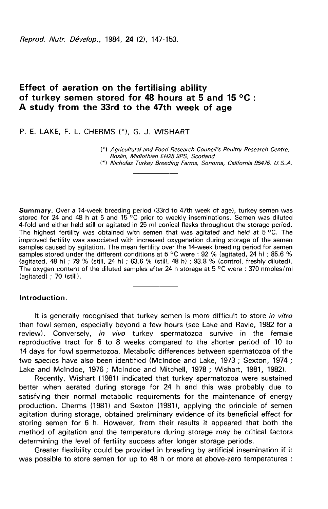Reprod. Nutr. Dévelop., 1984, 24 (2), 147-153.

# Effect of aeration on the fertilising ability of turkey semen stored for 48 hours at 5 and 15 °C : A study from the 33rd to the 47th week of age

P. E. LAKE, F. L. CHERMS (\*), G. J. WISHART

(\*) Agricultural and Food Research Council's Poultry Research Centre, Roslin, Midlothian EN25 9PS, Scotland

(') Nicholas Turkey Breeding Farms, Sonoma, California 95476, U.S.A.

Summary. Over a 14-week breeding period (33rd to 47th week of age), turkey semen was stored for 24 and 48 h at 5 and 15 °C prior to weekly inseminations. Semen was diluted 4-fold and either held still or agitated in 25-ml conical flasks throughout the storage period. The highest fertility was obtained with semen that was agitated and held at  $\bar{5}^{\circ}$ C. The improved fertility was associated with increased oxygenation during storage of the semen samples caused by agitation. The mean fertility over the 14-week breeding period for semen samples stored under the different conditions at 5 °C were : 92 % (agitated, 24 h) ; 85.6 % (agitated, 48 h) ; 79 % (still, 24 h) ; 63.6 % (still, 48 h) ; 93.8 % (control, freshly diluted). The oxygen content of the diluted samples after 24 h storage at 5  $\degree$ C were : 370 nmoles/ml (agitated) ; 70 (still).

## Introduction.

It is generally recognised that turkey semen is more difficult to store in vitro than fowl semen, especially beyond a few hours (see Lake and Ravie, 1982 for a review). Conversely, in vivo turkey spermatozoa survive in the female reproductive tract for 6 to 8 weeks compared to the shorter period of 10 to 14 days for fowl spermatozoa. Metabolic differences between spermatozoa of the two species have also been identified (Mclndoe and Lake, 1973 ; Sexton, 1974 ; Lake and Mclndoe, 1976 ; Mcindoe and Mitchell, 1978 ; Wishart, 1981, 1982).

Recently, Wishart (1981) indicated that turkey spermatozoa were sustained better when aerated during storage for 24 h and this was probably due to satisfying their normal metabolic requirements for the maintenance of energy production. Cherms (1981) and Sexton (1981), applying the principle of semen agitation during storage, obtained preliminary evidence of its beneficial effect for storing semen for 6 h. However, from their results it appeared that both the method of agitation and the temperature during storage may be critical factors determining the level of fertility success after longer storage periods.

Greater flexibility could be provided in breeding by artificial insemination if it was possible to store semen for up to 48 h or more at above-zero temperatures ;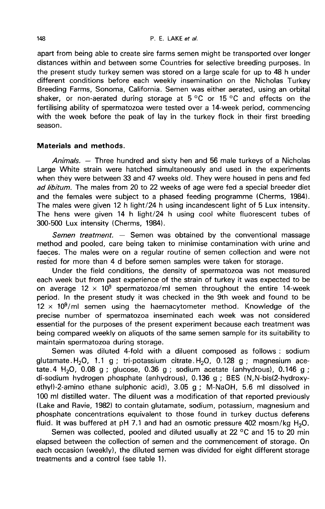apart from being able to create sire farms semen might be transported over longer distances within and between some Countries for selective breeding purposes. In the present study turkey semen was stored on a large scale for up to 48 h under different conditions before each weekly insemination on the Nicholas Turkey Breeding Farms, Sonoma, California. Semen was either aerated, using an orbital shaker, or non-aerated during storage at  $5\,^{\circ}$ C or 15 °C and effects on the fertilising ability of spermatozoa were tested over a 14-week period, commencing with the week before the peak of lay in the turkey flock in their first breeding season.

## Materials and methods.

Animals. — Three hundred and sixty hen and 56 male turkeys of a Nicholas Large White strain were hatched simultaneously and used in the experiments when they were between 33 and 47 weeks old. They were housed in pens and fed ad libitum. The males from 20 to 22 weeks of age were fed a special breeder diet and the females were subject to a phased feeding programme (Cherms, 1984). The males were given 12 h light/24 h using incandescent light of 5 Lux intensity. The hens were given 14 h light/24 h using cool white fluorescent tubes of 300-500 Lux intensity (Cherms, 1984).

Semen treatment.  $-$  Semen was obtained by the conventional massage method and pooled, care being taken to minimise contamination with urine and faeces. The males were on a regular routine of semen collection and were not rested for more than 4 d before semen samples were taken for storage.

Under the field conditions, the density of spermatozoa was not measured each week but from past experience of the strain of turkey it was expected to be each week but from past experience of the strain of turkey it was expected to be<br>on average  $12 \times 10^9$  spermatozoa/ml semen throughout the entire 14-week<br>period. In the present study it was checked in the 9th week and fo period. In the present study it was checked in the 9th week and found to be  $12 \times 10^9/\text{ml}$  semen using the haemacytometer method. Knowledge of the precise number of spermatozoa inseminated each week was not considered essential for the purposes of the present experiment because each treatment was being compared weekly on aliquots of the same semen sample for its suitability to maintain spermatozoa during storage. period. In the present study it was checked in the 9th week and found to be<br>12 × 10<sup>9</sup>/ml semen using the haemacytometer method. Knowledge of the<br>precise number of spermatozoa inseminated each week was not considered<br>esse

Semen was diluted 4-fold with a diluent composed as follows : sodium glutamate. $H_2O$ , 1.1 g ; tri-potassium citrate. $H_2O$ , 0.128 g ; magnesium ace-<br>tate.4 H<sub>2</sub>O, 0.08 g ; glucose, 0.36 g ; sodium acetate (anhydrous), 0.146 g ; di-sodium hydrogen phosphate (anhydrous), 0.136 g ; BES (N,N-bis(2-hydroxyethyl)-2-amino ethane sulphonic acid), 3.05 g ; M-NaOH, 5.6 ml dissolved in 100 ml distilled water. The diluent was a modification of that reported previously (Lake and Ravie, 1982) to contain glutamate, sodium, potassium, magnesium and phosphate concentrations equivalent to those found in turkey ductus deferens<br>fluid. It was buffered at pH 7.1 and had an osmotic pressure 402 mosm/kg H<sub>2</sub>O.<br>Somen was cellected pooled and diluted usually at 22.<sup>9C</sup> and 15

Semen was collected, pooled and diluted usually at 22 °C and 15 to 20 min elapsed between the collection of semen and the commencement of storage. On each occasion (weekly), the diluted semen was divided for eight different storage treatments and a control (see table 1).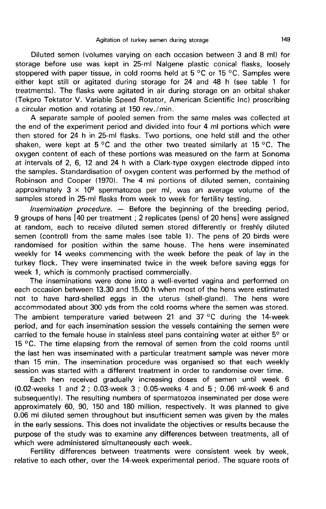Diluted semen (volumes varying on each occasion between 3 and 8 ml) for storage before use was kept in 25-ml Nalgene plastic conical flasks, loosely stoppered with paper tissue, in cold rooms held at 5 °C or 15 °C. Samples were either kept still or agitated during storage for 24 and 48 h (see table 1 for treatments). The flasks were agitated in air during storage on an orbital shaker (Tekpro Tektator V. Variable Speed Rotator, American Scientific Inc) proscribing a circular motion and rotating at 150 rev./min.

A separate sample of pooled semen from the same males was collected at the end of the experiment period and divided into four 4 ml portions which were then stored for 24 h in 25-ml flasks. Two portions, one held still and the other shaken, were kept at 5 °C and the other two treated similarly at 15 °C. The oxygen content of each of these portions was measured on the farm at Sonoma at intervals of 2, 6, 12 and 24 h with a Clark-type oxygen electrode dipped into the samples. Standardisation of oxygen content was performed by the method of Robinson and Cooper (1970). The 4 ml portions of diluted semen, containing approximately  $3 \times 10^9$  spermatozoa per ml, was an average volume of the samples stored in 25-ml flasks from week to week for fertility testing.

Insemination procedure.  $-$  Before the beginning of the breeding period, 9 groups of hens [40 per treatment ; 2 replicates (pens) of 20 hens] were assigned at random, each to receive diluted semen stored differently or freshly diluted semen (control) from the same males (see table 1). The pens of 20 birds were randomised for position within the same house. The hens were inseminated weekly for 14 weeks commencing with the week before the peak of lay in the turkey flock. They were inseminated twice in the week before saving eggs for week 1, which is commonly practised commercially.

The inseminations were done into a well-everted vagina and performed on each occasion between 13.30 and 15.00 h when most of the hens were estimated not to have hard-shelled eggs in the uterus (shell-gland). The hens were accommodated about 300 yds from the cold rooms where the semen was stored. The ambient temperature varied between 21 and 37 °C during the 14-week period, and for each insemination session the vessels containing the semen were carried to the female house in stainless steel pans containing water at either 5° or 15  $\degree$ C. The time elapsing from the removal of semen from the cold rooms until the last hen was inseminated with a particular treatment sample was never more than 15 min. The insemination procedure was organised so that each weekly session was started with a different treatment in order to randomise over time.

Each hen received gradually increasing doses of semen until week 6 (0.02-weeks 1 and 2 ; 0.03-week 3 ; 0.05-weeks 4 and 5 ; 0.06 ml-week 6 and subsequently). The resulting numbers of spermatozoa inseminated per dose were approximately 60, 90, 150 and 180 million, respectively. It was planned to give 0.06 mi diluted semen throughout but insufficient semen was given by the males in the early sessions. This does not invalidate the objectives or results because the purpose of the study was to examine any differences between treatments, all of which were administered simultaneously each week.

Fertility differences between treatments were consistent week by week, relative to each other, over the 14-week experimental period. The square roots of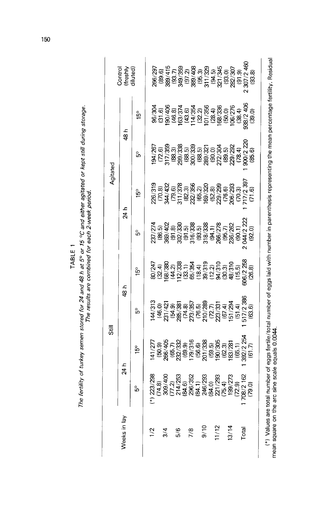| ۰, |  |
|----|--|
|    |  |

# The fertility of turkey semen stored for 24 and 48 h at 5° or 15 °C and either agitated or kept still during storage.

| i |
|---|
| i |
|   |
|   |
| í |
| l |
|   |
|   |

| Weeks in lay  |                   | 24 h | ģ  | <u>م</u>                                                                                                      |                                                                                                                              | 24 h                                                                                                                                 |                                                                                                                         | 48 հ                                                                                                           | Control<br>(freshly<br>diluted)                                                                                                                                                                                                     |
|---------------|-------------------|------|----|---------------------------------------------------------------------------------------------------------------|------------------------------------------------------------------------------------------------------------------------------|--------------------------------------------------------------------------------------------------------------------------------------|-------------------------------------------------------------------------------------------------------------------------|----------------------------------------------------------------------------------------------------------------|-------------------------------------------------------------------------------------------------------------------------------------------------------------------------------------------------------------------------------------|
|               | å                 | ı5°  | °ე | ន្ទ្រ                                                                                                         | မိ                                                                                                                           | $\frac{5}{2}$                                                                                                                        | မိ                                                                                                                      | ů,                                                                                                             |                                                                                                                                                                                                                                     |
|               | $\ddot{\tilde{}}$ |      |    |                                                                                                               |                                                                                                                              |                                                                                                                                      |                                                                                                                         |                                                                                                                |                                                                                                                                                                                                                                     |
|               |                   |      |    |                                                                                                               |                                                                                                                              |                                                                                                                                      |                                                                                                                         |                                                                                                                |                                                                                                                                                                                                                                     |
| $\frac{3}{4}$ |                   |      |    | ង ។<br>ខ្លួន មី ភីដូ ភីមិ មី ដូ មី ខ្លួន មី មី ខ្លួន មី<br>ដូ មី ខ្លួន មី ដូ មី មី មី មី មី ខ្លួន មី ខ្លួន មី | ដ្ឋ<br>ភ្លូង មិនមាន និង មិនមាន មិន មិន មិន<br>ដូច មិន មិន មិន មិន មិន មិន មិន មិន មិន<br>ដូច មិន មិន មិន មិន មិន មិន មិន មិន | ភូមិ និង<br>មានអ្នក មានម្តី មានមន្ត្រី មានអ្នក មានអ្នក<br>មានអ្នក មានអ្នក មានអ្នក មានអ្នក មានអ្នក<br>មានអ្នក មានអ្នក មានអ្នក មានអ្នក |                                                                                                                         |                                                                                                                |                                                                                                                                                                                                                                     |
|               |                   |      |    |                                                                                                               |                                                                                                                              |                                                                                                                                      |                                                                                                                         |                                                                                                                |                                                                                                                                                                                                                                     |
| 5/6           |                   |      |    |                                                                                                               |                                                                                                                              |                                                                                                                                      |                                                                                                                         |                                                                                                                |                                                                                                                                                                                                                                     |
|               |                   |      |    |                                                                                                               |                                                                                                                              |                                                                                                                                      |                                                                                                                         |                                                                                                                |                                                                                                                                                                                                                                     |
| $\frac{8}{1}$ |                   |      |    |                                                                                                               |                                                                                                                              |                                                                                                                                      |                                                                                                                         |                                                                                                                |                                                                                                                                                                                                                                     |
|               |                   |      |    |                                                                                                               |                                                                                                                              |                                                                                                                                      |                                                                                                                         |                                                                                                                |                                                                                                                                                                                                                                     |
| 0/10          |                   |      |    |                                                                                                               |                                                                                                                              |                                                                                                                                      |                                                                                                                         |                                                                                                                |                                                                                                                                                                                                                                     |
|               |                   |      |    |                                                                                                               |                                                                                                                              |                                                                                                                                      |                                                                                                                         |                                                                                                                |                                                                                                                                                                                                                                     |
| 11/12         |                   |      |    |                                                                                                               |                                                                                                                              |                                                                                                                                      |                                                                                                                         |                                                                                                                |                                                                                                                                                                                                                                     |
|               |                   |      |    |                                                                                                               |                                                                                                                              |                                                                                                                                      |                                                                                                                         |                                                                                                                |                                                                                                                                                                                                                                     |
| 13/14         |                   |      |    |                                                                                                               |                                                                                                                              |                                                                                                                                      |                                                                                                                         |                                                                                                                |                                                                                                                                                                                                                                     |
|               |                   |      |    |                                                                                                               |                                                                                                                              |                                                                                                                                      |                                                                                                                         |                                                                                                                |                                                                                                                                                                                                                                     |
| Total         |                   |      |    |                                                                                                               |                                                                                                                              |                                                                                                                                      |                                                                                                                         |                                                                                                                |                                                                                                                                                                                                                                     |
|               |                   |      |    |                                                                                                               |                                                                                                                              |                                                                                                                                      | ច<br>ទី ចំនួន មិន មិន មិន មិន មិន មិន មិន មិន<br>មិន មិន មិន មិន មិន មិន មិន មិន មិន មិន<br>មិន មិន មិន មិន មិន មិន មិន | ම සම්බන්ධ විය මේ විවිධ විවිධ වි<br>ම සම්බන්ධ විවිධ විය මේ විවිධ විවිධ වි<br>ම සම්බන්ධ විවිධ විය මේ විවිධ විවිධ | និង<br>ខ្លួន មួយ មន្ត្រី មន្ត្រី មន្ត្រី មន្ត្រី មន្ត្រី មន្ត្រី មន្ត្រី មន្ត្រី មន្ត្រី មន្ត្រី មន្ត្រី មន្ត្រី មន្ត<br>បានបន្តិយន្ត្រី មន្ត្រី មន្ត្រី មន្ត្រី មន្ត្រី មន្ត្រី មន្ត្រី មន្ត្រី មន្ត្រី មន្ត្រី មន្ត្រី មន្ត្រី មន |

150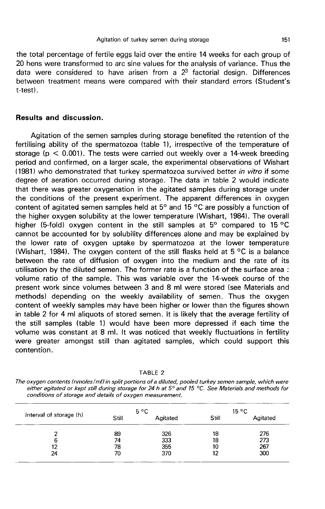the total percentage of fertile eggs laid over the entire 14 weeks for each group of 20 hens were transformed to arc sine values for the analysis of variance. Thus the data were considered to have arisen from a  $2<sup>3</sup>$  factorial design. Differences between treatment means were compared with their standard errors (Student's t-testl .

## Results and discussion.

Agitation of the semen samples during storage benefited the retention of the fertilising ability of the spermatozoa (table 11, irrespective of the temperature of storage ( $p < 0.001$ ). The tests were carried out weekly over a 14-week breeding period and confirmed, on a larger scale, the experimental observations of Wishart (1981) who demonstrated that turkey spermatozoa survived better in vitro if some degree of aeration occurred during storage. The data in table 2 would indicate that there was greater oxygenation in the agitated samples during storage under the conditions of the present experiment. The apparent differences in oxygen content of agitated semen samples held at 5° and 15 °C are possibly a function of the higher oxygen solubility at the lower temperature (Wishart, 1984). The overall higher (5-fold) oxygen content in the still samples at 5° compared to 15 °C cannot be accounted for by solubility differences alone and may be explained by the lower rate of oxygen uptake by spermatozoa at the lower temperature (Wishart, 1984). The oxygen content of the still flasks held at 5  $\mathrm{^{\circ}C}$  is a balance between the rate of diffusion of oxygen into the medium and the rate of its utilisation by the diluted semen. The former rate is a function of the surface area : volume ratio of the sample. This was variable over the 14-week course of the present work since volumes between 3 and 8 ml were stored (see Materials and methods) depending on the weekly availability of semen. Thus the oxygen content of weekly samples may have been higher or lower than the figures shown in table 2 for 4 ml aliquots of stored semen. It is likely that the average fertility of the still samples (table 1) would have been more depressed if each time the volume was constant at 8 ml. It was noticed that weekly fluctuations in fertility were greater amongst still than agitated samples, which could support this contention.

TABLE 2

The oxygen contents (nmoles/ml) in split portions of a diluted, pooled turkey semen sample, which were either agitated or kept still during storage for 24 h at 5° and 15 °C. See Materials and methods for conditions of storage and details of oxygen measurement.

|                         | $5^{\circ}$ C |          | $15^{\circ}$ C |          |
|-------------------------|---------------|----------|----------------|----------|
| Interval of storage (h) | Still         | Agitated | Still          | Agitated |
|                         | 89            | 326      | 18             | 276      |
| 6                       | 74            | 333      | 18             | 273      |
| 12                      | 78            | 355      | 10             | 267      |
| 24                      | 70            | 370      | 12             | 300      |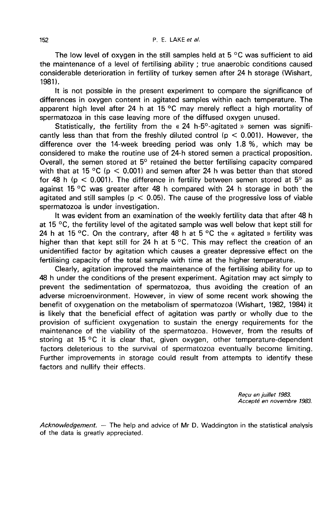The low level of oxygen in the still samples held at  $5^{\circ}$ C was sufficient to aid the maintenance of a level of fertilising ability ; true anaerobic conditions caused considerable deterioration in fertility of turkey semen after 24 h storage (Wishart,  $1981$ .

It is not possible in the present experiment to compare the significance of differences in oxygen content in agitated samples within each temperature. The apparent high level after 24 h at 15 °C may merely reflect a high mortality of spermatozoa in this case leaving more of the diffused oxygen unused.

Statistically, the fertility from the « 24 h-5°-agitated » semen was significantly less than that from the freshly diluted control ( $p < 0.001$ ). However, the difference over the 14-week breeding period was only 1.8 %, which may be considered to make the routine use of 24-h stored semen a practical proposition. Overall, the semen stored at 5° retained the better fertilising capacity compared with that at 15 °C (p  $\leq$  0.001) and semen after 24 h was better than that stored for 48 h ( $p < 0.001$ ). The difference in fertility between semen stored at  $5^{\circ}$  as against 15 °C was greater after 48 h compared with 24 h storage in both the agitated and still samples ( $p < 0.05$ ). The cause of the progressive loss of viable spermatozoa is under investigation.

It was evident from an examination of the weekly fertility data that after 48 h at 15  $\degree$ C, the fertility level of the agitated sample was well below that kept still for 24 h at 15 °C. On the contrary, after 48 h at 5 °C the « agitated » fertility was higher than that kept still for 24 h at  $5^{\circ}$ C. This may reflect the creation of an unidentified factor by agitation which causes a greater depressive effect on the fertilising capacity of the total sample with time at the higher temperature.

Clearly, agitation improved the maintenance of the fertilising ability for up to 48 h under the conditions of the present experiment. Agitation may act simply to prevent the sedimentation of spermatozoa, thus avoiding the creation of an adverse microenvironment. However, in view of some recent work showing the benefit of oxygenation on the metabolism of spermatozoa (Wishart, 1982, 1984) it is likely that the beneficial effect of agitation was partly or wholly due to the provision of sufficient oxygenation to sustain the energy requirements for the maintenance of the viability of the spermatozoa. However, from the results of storing at 15 °C it is clear that, given oxygen, other temperature-dependent factors deleterious to the survival of spermatozoa eventually become limiting. Further improvements in storage could result from attempts to identify these factors and nullify their effects.

> Recu en juillet 1983. Accepté en novembre 1983.

Acknowledgement. — The help and advice of Mr D. Waddington in the statistical analysis of the data is greatly appreciated.